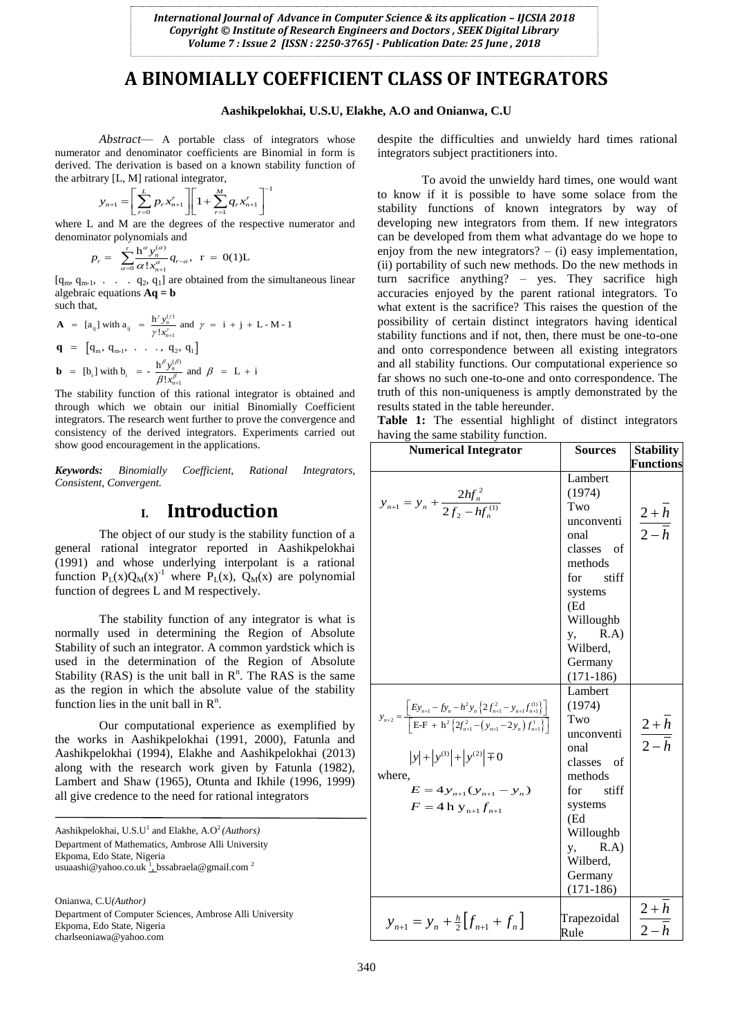# **A BINOMIALLY COEFFICIENT CLASS OF INTEGRATORS**

## **Aashikpelokhai, U.S.U, Elakhe, A.O and Onianwa, C.U**

*Abstract*— A portable class of integrators whose numerator and denominator coefficients are Binomial in form is derived. The derivation is based on a known stability function of

the arbitrary [L, M] rational integrator,  

$$
y_{n+1} = \left[ \sum_{r=0}^{L} p_r x_{n+1}^r \right] \left[ 1 + \sum_{r=1}^{M} q_r x_{n+1}^r \right]^{-1}
$$

where L and M are the degrees of the respective numerator and

denominator polynomials and  
\n
$$
p_r = \sum_{\alpha=0}^{r} \frac{h^{\alpha} y_n^{(\alpha)}}{\alpha! x_{n+1}^{\alpha}} q_{r-\alpha}, \ \ r = 0(1)L
$$

 $\frac{a}{a=0}$   $\alpha$  :  $x_{n+1}$ <br>[q<sub>m</sub>, q<sub>m-1</sub>, ... q<sub>2</sub>, q<sub>1</sub>] are obtained from the simultaneous linear algebraic equations **Aq = b** such that,

augeprac equations 
$$
\mathbf{A}\mathbf{q} = \mathbf{b}
$$

\nsuch that,

\n
$$
\mathbf{A} = [a_{ij}] \text{ with } a_{ij} = \frac{h^{\gamma} y_n^{(\gamma)}}{\gamma! x_{n+1}^{\gamma}} \text{ and } \gamma = i + j + L - M - 1
$$
\n
$$
\mathbf{q} = [q_m, q_{m-1}, \ldots, q_2, q_1]
$$
\n
$$
\mathbf{b} = [b_i] \text{ with } b_i = -\frac{h^{\beta} y_n^{(\beta)}}{\beta! x_{n+1}^{\beta}} \text{ and } \beta = L + i
$$

The stability function of this rational integrator is obtained and through which we obtain our initial Binomially Coefficient integrators. The research went further to prove the convergence and consistency of the derived integrators. Experiments carried out show good encouragement in the applications.

*Keywords: Binomially Coefficient, Rational Integrators, Consistent, Convergent.*

## **I. Introduction**

The object of our study is the stability function of a general rational integrator reported in Aashikpelokhai (1991) and whose underlying interpolant is a rational function  $P_L(x)Q_M(x)^{-1}$  where  $P_L(x)$ ,  $Q_M(x)$  are polynomial function of degrees L and M respectively.

The stability function of any integrator is what is normally used in determining the Region of Absolute Stability of such an integrator. A common yardstick which is used in the determination of the Region of Absolute Stability (RAS) is the unit ball in  $\mathbb{R}^n$ . The RAS is the same as the region in which the absolute value of the stability function lies in the unit ball in  $\mathbb{R}^n$ .

Our computational experience as exemplified by the works in Aashikpelokhai (1991, 2000), Fatunla and Aashikpelokhai (1994), Elakhe and Aashikpelokhai (2013) along with the research work given by Fatunla (1982), Lambert and Shaw (1965), Otunta and Ikhile (1996, 1999) all give credence to the need for rational integrators

Aashikpelokhai, U.S.U<sup>1</sup> and Elakhe, A.O<sup>2</sup> (Authors) Department of Mathematics, Ambrose Alli University Ekpoma, Edo State, Nigeria usuaashi@yahoo.co.uk <sup>1</sup>, bssabraela@gmail.com<sup>2</sup>

Onianwa, C.U*(Author)* Department of Computer Sciences, Ambrose Alli University Ekpoma, Edo State, Nigeria charlseoniawa@yahoo.com

despite the difficulties and unwieldy hard times rational integrators subject practitioners into.

To avoid the unwieldy hard times, one would want to know if it is possible to have some solace from the stability functions of known integrators by way of developing new integrators from them. If new integrators can be developed from them what advantage do we hope to enjoy from the new integrators?  $-$  (i) easy implementation, (ii) portability of such new methods. Do the new methods in turn sacrifice anything? – yes. They sacrifice high accuracies enjoyed by the parent rational integrators. To what extent is the sacrifice? This raises the question of the possibility of certain distinct integrators having identical stability functions and if not, then, there must be one-to-one and onto correspondence between all existing integrators and all stability functions. Our computational experience so far shows no such one-to-one and onto correspondence. The truth of this non-uniqueness is amptly demonstrated by the results stated in the table hereunder.

**Table 1:** The essential highlight of distinct integrators having the same stability function.

| $\mathbf{u}$ , $\mathbf{u}$ , $\mathbf{u}$<br>the same stability ranchom.<br><b>Numerical Integrator</b>                                                                                                                                                                                                                      | <b>Sources</b>                                                                                                                                                                            | <b>Stability</b>                        |
|-------------------------------------------------------------------------------------------------------------------------------------------------------------------------------------------------------------------------------------------------------------------------------------------------------------------------------|-------------------------------------------------------------------------------------------------------------------------------------------------------------------------------------------|-----------------------------------------|
|                                                                                                                                                                                                                                                                                                                               |                                                                                                                                                                                           | <b>Functions</b>                        |
| $y_{n+1} = y_n + \frac{2hf_n^2}{2f_2 - hf_n^{(1)}}$                                                                                                                                                                                                                                                                           | Lambert<br>(1974)<br>Two<br>unconventi<br>onal<br>classes of<br>methods<br>stiff<br>for<br>systems<br>(Ed<br>Willoughb<br>R.A)<br>y,<br>Wilberd,<br>Germany                               | $\frac{2+h}{2-h}$                       |
| $y_{n+2} = \frac{\left[Ey_{n+1} - f y_n - h^2 y_n \left\{2f_{n+1}^2 - y_{n+1}f_{n+1}^{(1)}\right\}\right]}{\left[E \!-\! F + h^2 \left\{2f_{n+1}^2 - \left(y_{n+1} - 2y_n\right)f_{n+1}^{(1)}\right\}\right]}$<br>$ y  +  y^{(1)}  +  y^{(2)}  \mp 0$<br>where,<br>$E = 4y_{n+1}(y_{n+1} - y_n)$<br>$F = 4 h y_{n+1} f_{n+1}$ | $(171-186)$<br>Lambert<br>(1974)<br>Two<br>unconventi<br>onal<br>classes of<br>methods<br>stiff<br>for<br>systems<br>(Ed<br>Willoughb<br>R.A)<br>у,<br>Wilberd,<br>Germany<br>$(171-186)$ | $\frac{2+\overline{h}}{2-\overline{h}}$ |
| $y_{n+1} = y_n + \frac{h}{2} \left[ f_{n+1} + f_n \right]$                                                                                                                                                                                                                                                                    | Trapezoidal<br>Rule                                                                                                                                                                       | $\frac{2+h}{2-h}$                       |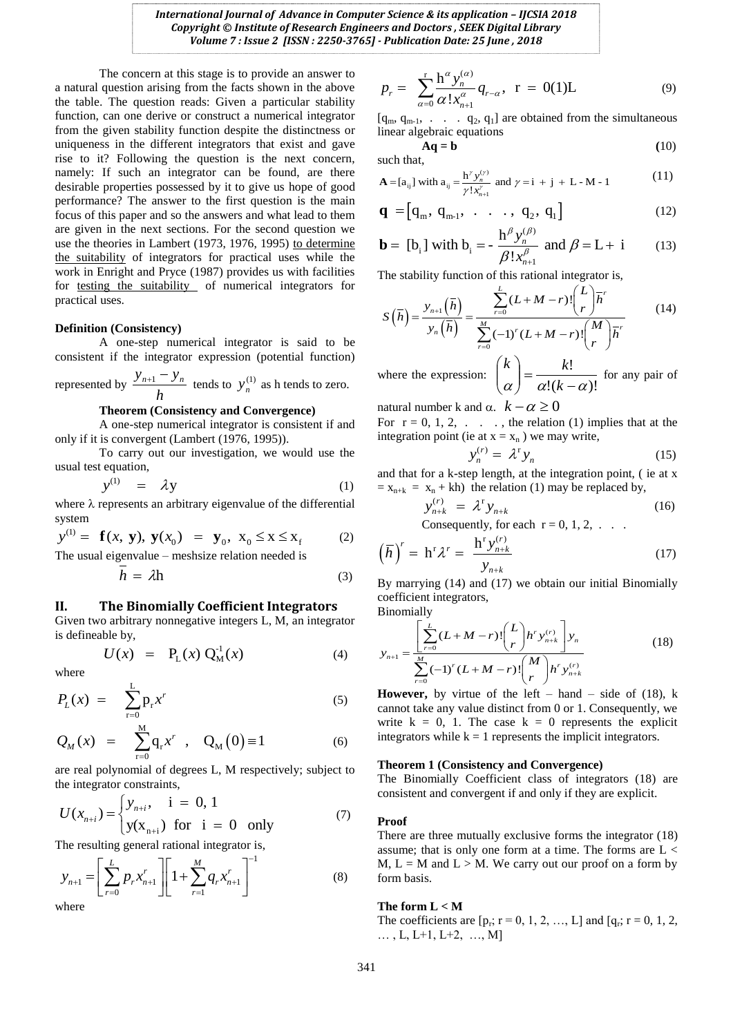The concern at this stage is to provide an answer to a natural question arising from the facts shown in the above the table. The question reads: Given a particular stability function, can one derive or construct a numerical integrator from the given stability function despite the distinctness or uniqueness in the different integrators that exist and gave rise to it? Following the question is the next concern, namely: If such an integrator can be found, are there desirable properties possessed by it to give us hope of good performance? The answer to the first question is the main focus of this paper and so the answers and what lead to them are given in the next sections. For the second question we use the theories in Lambert (1973, 1976, 1995) to determine the suitability of integrators for practical uses while the work in Enright and Pryce (1987) provides us with facilities for testing the suitability of numerical integrators for practical uses.

## **Definition (Consistency)**

A one-step numerical integrator is said to be consistent if the integrator expression (potential function)

represented by 
$$
\frac{y_{n+1} - y_n}{h}
$$
 tends to  $y_n^{(1)}$  as h tends to zero.

## **Theorem (Consistency and Convergence)**

A one-step numerical integrator is consistent if and only if it is convergent (Lambert (1976, 1995)).

To carry out our investigation, we would use the usual test equation,

$$
y^{(1)} = \lambda y \tag{1}
$$

where  $\lambda$  represents an arbitrary eigenvalue of the differential system<br>  $y^{(1)} = \mathbf{f}(x, \mathbf{y}), \mathbf{y}(x_0) = \mathbf{y}_0, \mathbf{x}_0 \le x \le x_f$  (2) system

$$
y^{(1)} = \mathbf{f}(x, \mathbf{y}), \mathbf{y}(x_0) = \mathbf{y}_0, \mathbf{x}_0 \le x \le x_f
$$
 (2)  
The usual eigenvalue – meshsize relation needed is

$$
\bar{h} = \lambda h \tag{3}
$$

## **II. The Binomially Coefficient Integrators**

Given two arbitrary nonnegative integers L, M, an integrator is defineable by,

$$
U(x) = P_{L}(x) Q_{M}^{1}(x)
$$
 (4)

where

$$
P_L(x) = \sum_{r=0}^{L} p_r x^r \tag{5}
$$

$$
Q_M(x) = \sum_{r=0}^{M} q_r x^r , Q_M(0) \equiv 1
$$
 (6)

are real polynomial of degrees L, M respectively; subject to

the integrator constraints,  
\n
$$
U(x_{n+i}) = \begin{cases} y_{n+i}, & i = 0, 1 \\ y(x_{n+i}) & \text{for } i = 0 \end{cases}
$$
\n(7)

The resulting general rational integrator is,  
\n
$$
y_{n+1} = \left[ \sum_{r=0}^{L} p_r x_{n+1}^r \right] \left[ 1 + \sum_{r=1}^{M} q_r x_{n+1}^r \right]^{-1}
$$
\n(8)

where

$$
p_r = \sum_{\alpha=0}^{r} \frac{\mathbf{h}^{\alpha} y_n^{(\alpha)}}{\alpha! x_{n+1}^{\alpha}} q_{r-\alpha}, \ \ \mathbf{r} = 0(1)\mathbf{L}
$$
 (9)

 $[q_m, q_{m-1}, \ldots, q_2, q_1]$  are obtained from the simultaneous linear algebraic equations

 $Aq = b$  (10)

such that,

such that,  
\n
$$
\mathbf{A} = [a_{ij}] \text{ with } a_{ij} = \frac{h^{\gamma} y_n^{(\gamma)}}{\gamma! x_{n+1}^{\gamma}} \text{ and } \gamma = i + j + L - M - 1
$$
\n(11)

$$
\mathbf{q} = [q_{m}, q_{m-1}, \dots, q_{2}, q_{1}]
$$
\n
$$
\mathbf{h}^{\beta} \mathbf{v}^{(\beta)}
$$
\n(12)

**b** = 
$$
[b_i]
$$
 with  $b_i = -\frac{h^{\beta} y_n^{(\beta)}}{\beta! x_{n+1}^{\beta}}$  and  $\beta = L + i$  (13)

The stability function of this rational integrator is,  
\n
$$
S(\overline{h}) = \frac{y_{n+1}(\overline{h})}{y_n(\overline{h})} = \frac{\sum_{r=0}^{L} (L+M-r)! {L \choose r} \overline{h}^r}{\sum_{r=0}^{M} (-1)^r (L+M-r)! {M \choose r} \overline{h}^r}
$$
\n(14)

where the expression:  $\left( \alpha \right) = \frac{\ldots}{\alpha!(k-\alpha)!}$  $\left(\frac{\kappa}{\alpha}\right) = \frac{\kappa}{\alpha!(k-\alpha)}$  $\bigg)$  $\overline{\phantom{a}}$  $\overline{\mathcal{L}}$ *k*  $k$  =  $\frac{k!}{k!}$  for any pair of

natural number k and  $\alpha$ .  $k - \alpha \geq 0$ 

For  $r = 0, 1, 2, \ldots$ , the relation (1) implies that at the integration point (ie at  $x = x_n$ ) we may write,

$$
y_n^{(r)} = \lambda^r y_n \tag{15}
$$

and that for a k-step length, at the integration point, ( ie at x  $x_{n+k} = x_n + kh$  the relation (1) may be replaced by,

$$
y_{n+k}^{(r)} = \lambda^{\text{r}} y_{n+k}
$$
 (16)

Consequently, for each  $r = 0, 1, 2, \ldots$ 

$$
\left(\overline{h}\right)^{r} = \mathbf{h}^{r} \lambda^{r} = \frac{\mathbf{h}^{r} y_{n+k}^{(r)}}{y_{n+k}}
$$
\n(17)

By marrying (14) and (17) we obtain our initial Binomially coefficient integrators,

Binomially

Binomially  
\n
$$
y_{n+1} = \frac{\left[\sum_{r=0}^{L} (L+M-r)!\binom{L}{r} h^r y_{n+k}^{(r)}\right] y_n}{\sum_{r=0}^{M} (-1)^r (L+M-r)!} \binom{M}{r} h^r y_{n+k}^{(r)}
$$
\n(18)

**However,** by virtue of the left – hand – side of  $(18)$ , k cannot take any value distinct from 0 or 1. Consequently, we write  $k = 0$ , 1. The case  $k = 0$  represents the explicit integrators while  $k = 1$  represents the implicit integrators.

## **Theorem 1 (Consistency and Convergence)**

The Binomially Coefficient class of integrators (18) are consistent and convergent if and only if they are explicit.

#### **Proof**

There are three mutually exclusive forms the integrator (18) assume; that is only one form at a time. The forms are  $L <$ M,  $L = M$  and  $L > M$ . We carry out our proof on a form by form basis.

## **The form L < M**

The coefficients are  $[p_r; r = 0, 1, 2, ..., L]$  and  $[q_r; r = 0, 1, 2, ...]$  $\ldots$ , L, L+1, L+2,  $\ldots$ , M]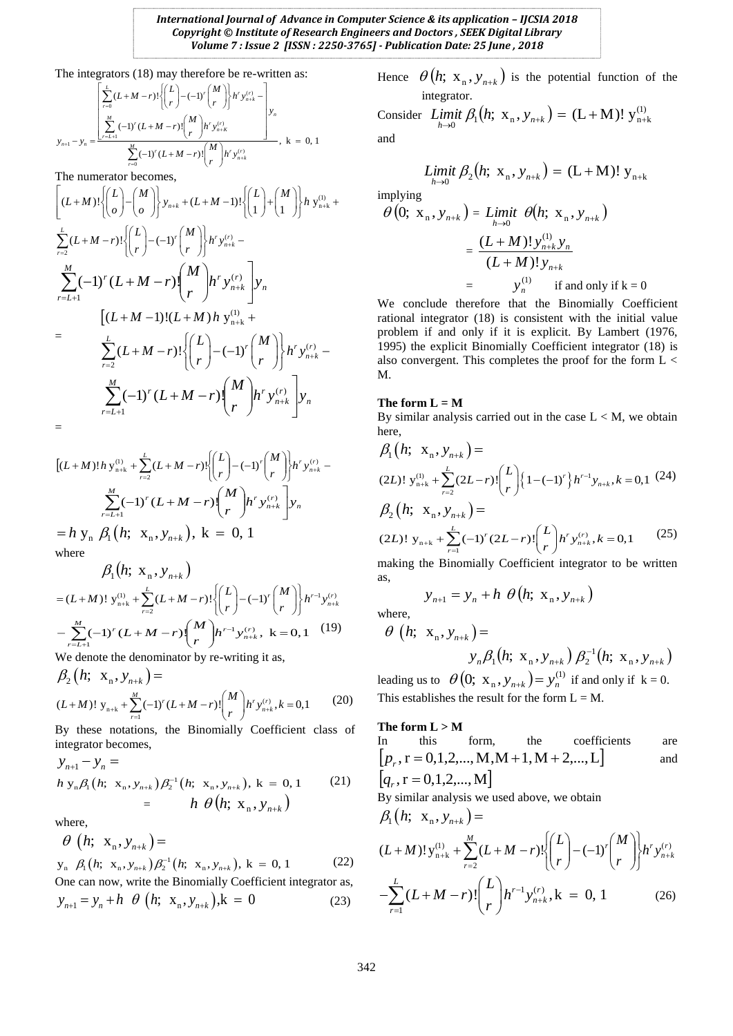*International Journal of Advance in Computer Science & its application – IJCSIA 2018 Copyright © Institute of Research Engineers and Doctors , SEEK Digital Library Volume 7 : Issue 2 [ISSN : 2250-3765] - Publication Date: 25 June , 2018*

The integrators (18) may therefore be re-written as:  
\n
$$
\left[\sum_{r=0}^{L} (L+M-r)! \left\{ {L \choose r} - (-1)^r {M \choose r} \right\} h^r y_{n+k}^{(r)} - \right] y_n
$$
\n
$$
y_{n+1} - y_n = \frac{\sum_{r=L+1}^{M} (-1)^r (L+M-r)! {M \choose r} h^r y_{n+k}^{(r)}}{\sum_{r=0}^{M} (-1)^r (L+M-r)! {M \choose r} h^r y_{n+k}^{(r)}}, k = 0, 1
$$

The numerator becomes,  
\n
$$
\left[ (L+M)! \left\{ {L \choose o} - {M \choose o} \right\} y_{n+k} + (L+M-1)! \left\{ {L \choose 1} + {M \choose 1} \right\} h y_{n+k}^{(i)} + \right]
$$
\n
$$
\sum_{r=2}^{L} (L+M-r)! \left\{ {L \choose r} - (-1)^r {M \choose r} \right\} h^r y_{n+k}^{(r)} -
$$
\n
$$
\sum_{r=L+1}^{M} (-1)^r (L+M-r) {M \choose r} h^r y_{n+k}^{(r)} y_n
$$
\n
$$
= \sum_{r=L+1}^{L} (L+M-1)! (L+M) h y_{n+k}^{(i)} + \sum_{r=L+1}^{N} (L+M-r)! \left\{ {L \choose r} - (-1)^r {M \choose r} \right\} h^r y_{n+k}^{(r)} - \sum_{r=L+1}^{N} (L+M-r) \left\{ {M \choose r} h^r y_{n+k}^{(r)} \right\} y_n
$$
\n
$$
=
$$

$$
[(L+M)!h y_{n+k}^{(1)} + \sum_{r=2}^{L} (L+M-r)! \begin{Bmatrix} L \\ r \end{Bmatrix} - (-1)^{r} {M \choose r} h^{r} y_{n+k}^{(r)} -
$$
  

$$
\sum_{r=L+1}^{M} (-1)^{r} (L+M-r) {M \choose r} h^{r} y_{n+k}^{(r)} y_{n}
$$
  
= h y<sub>n</sub>  $\beta_{1} (h; x_{n}, y_{n+k}), k = 0, 1$ 

where

$$
\beta_1(h; \mathbf{X}_n, \mathbf{y}_{n+k})
$$
  
=  $(L+M)!\mathbf{y}_{n+k}^{(1)} + \sum_{r=2}^L (L+M-r)!\left\{\binom{L}{r} - (-1)^r \binom{M}{r}\right\} h^{r-1} \mathbf{y}_{n+k}^{(r)}$   

$$
-\sum_{r=L+1}^M (-1)^r (L+M-r) \binom{M}{r} h^{r-1} \mathbf{y}_{n+k}^{(r)}, \mathbf{k} = 0, 1 \quad (19)
$$

We denote the denominator by re-writing it as,

$$
\beta_2(h; \mathbf{x}_n, \mathbf{y}_{n+k}) =
$$
\n
$$
(L+M)! \mathbf{y}_{n+k} + \sum_{r=1}^{M} (-1)^r (L+M-r)! {M \choose r} h^r \mathbf{y}_{n+k}^{(r)}, k = 0,1
$$
\n(20)

By these notations, the Binomially Coefficient class of integrator becomes,

$$
y_{n+1} - y_n =
$$
  
\n
$$
h y_n \beta_1 (h; x_n, y_{n+k}) \beta_2^{-1} (h; x_n, y_{n+k}), k = 0, 1
$$
 (21)  
\n
$$
= h \theta (h; x_n, y_{n+k})
$$

where,

$$
\theta \left( h; \ \mathbf{x}_{n}, \mathbf{y}_{n+k} \right) =
$$
  
\n
$$
\mathbf{y}_{n} \ \beta_{1} \left( h; \ \mathbf{x}_{n}, \mathbf{y}_{n+k} \right) \beta_{2}^{-1} \left( h; \ \mathbf{x}_{n}, \mathbf{y}_{n+k} \right), \ k = 0, 1 \tag{22}
$$

One can now, write the Binomially Coefficient integrator as,  $y_{n+1} = y_n + h \theta (h; x_n, y_{n+k}), k = 0$  (23)

Hence  $\theta$ (*h*;  $X_n$ ,  $Y_{n+k}$ ) is the potential function of the integrator.

Consider 
$$
\lim_{h \to 0} f_1(h; x_n, y_{n+k}) = (L+M)! y_{n+k}^{(1)}
$$
  
and

$$
\lim_{h \to 0} \mathcal{B}_2(h; \mathbf{x}_n, \mathbf{y}_{n+k}) = (\mathbf{L} + \mathbf{M})! \mathbf{y}_{n+k}
$$

implying

$$
\theta\left(0; \ x_{n}, y_{n+k}\right) = Limit \ \theta\left(h; \ x_{n}, y_{n+k}\right)
$$
\n
$$
= \frac{(L+M)! y_{n+k}^{(1)} y_{n}}{(L+M)! y_{n+k}}
$$
\n
$$
= y_{n}^{(1)} \quad \text{if and only if } k = 0
$$

We conclude therefore that the Binomially Coefficient rational integrator (18) is consistent with the initial value problem if and only if it is explicit. By Lambert (1976, 1995) the explicit Binomially Coefficient integrator (18) is also convergent. This completes the proof for the form  $L <$ M.

## The form  $L = M$

By similar analysis carried out in the case  $L < M$ , we obtain here,

$$
\beta_1(h; \mathbf{x}_n, y_{n+k}) =
$$
\n
$$
(2L)! \mathbf{y}_{n+k}^{(l)} + \sum_{r=2}^{L} (2L-r)! {L \choose r} \{1 - (-1)^r\} h^{r-1} y_{n+k}, k = 0, 1 \quad (24)
$$
\n
$$
\beta_2(h; \mathbf{x}_n, y_{n+k}) =
$$
\n
$$
(2L)! \mathbf{y}_{n+k} + \sum_{r=1}^{L} (-1)^r (2L-r)! {L \choose r} h^r y_{n+k}^{(r)}, k = 0, 1 \quad (25)
$$

making the Binomially Coefficient integrator to be written as,

$$
y_{n+1} = y_n + h \theta \big( h; \mathbf{x}_n, y_{n+k} \big)
$$

where,  $\theta$   $(h; x_n, y_{n+k}) =$ 

$$
\left(y_{n} \beta_{1}(h; \mathbf{x}_{n}, y_{n+k}) \beta_{2}^{-1}(h; \mathbf{x}_{n}, y_{n+k})\right)
$$

leading us to  $\theta\left(0; x_{n}, y_{n+k}\right) = y_{n}^{(1)}$  if and only if  $k = 0$ . This establishes the result for the form  $L = M$ .

## The form  $L > M$

In this form, the coefficients are 
$$
[p_r, r = 0, 1, 2, \ldots, M, M + 1, M + 2, \ldots, L]
$$
 and  $[q_r, r = 0, 1, 2, \ldots, M]$  By similar analysis we used above, we obtain

$$
\beta_1(h; \mathbf{x}_n, \mathbf{y}_{n+k}) =
$$
\n
$$
(L+M)! \mathbf{y}_{n+k}^{(1)} + \sum_{r=2}^M (L+M-r)! \left\{ {L \choose r} - (-1)^r {M \choose r} \right\} h^r \mathbf{y}_{n+k}^{(r)}
$$
\n
$$
-\sum_{r=1}^L (L+M-r)! {L \choose r} h^{r-1} \mathbf{y}_{n+k}^{(r)}, \mathbf{k} = 0, 1 \qquad (26)
$$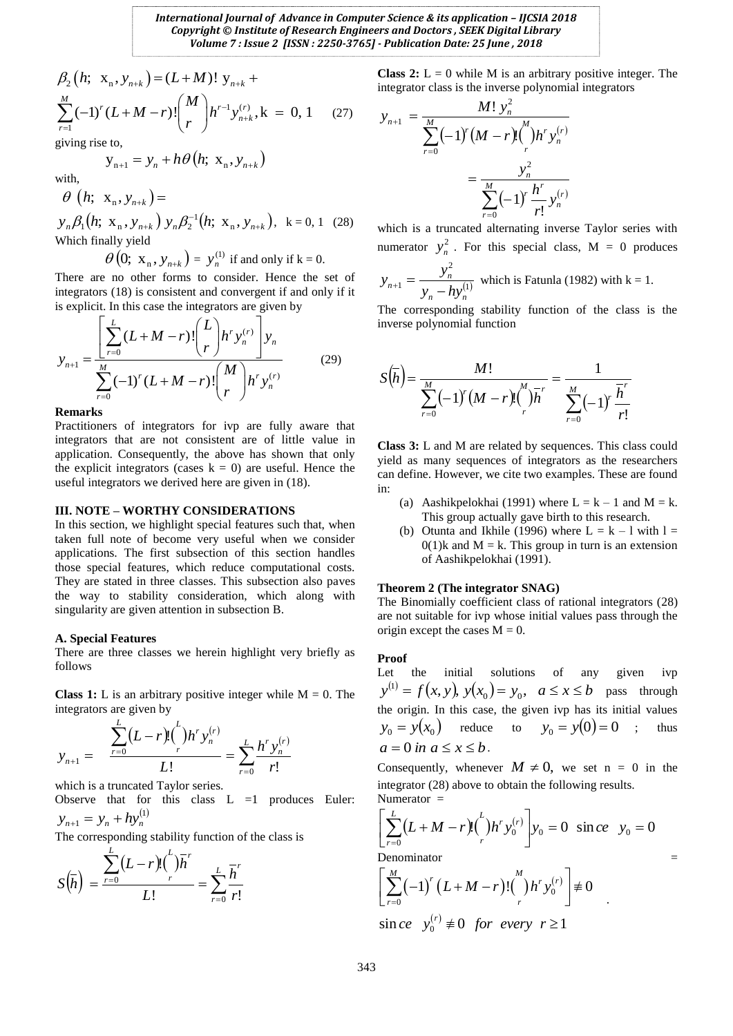$1(28)$ 

$$
\beta_2(h; \mathbf{x}_n, \mathbf{y}_{n+k}) = (L+M)! \mathbf{y}_{n+k} + \sum_{r=1}^M (-1)^r (L+M-r)! {M \choose r} h^{r-1} \mathbf{y}_{n+k}^{(r)}, k = 0, 1 \quad (27)
$$

giving rise to,

$$
\mathbf{y}_{n+1} = \mathbf{y}_n + h\theta\left(h; \mathbf{x}_n, \mathbf{y}_{n+k}\right)
$$

with,

$$
\theta \left( h; \ \mathbf{x}_n, \mathbf{y}_{n+k} \right) = \\ y_n \beta_1 \big( h; \ \mathbf{x}_n, \mathbf{y}_{n+k} \big) \ y_n \beta_2^{-1} \big( h; \ \mathbf{x}_n, \mathbf{y}_{n+k} \big), \ \ \mathbf{k} = 0,
$$

Which finally yield

 $\theta\left(0; \mathbf{x}_{n}, y_{n+k}\right) = y_{n}^{(1)}$  $y_n^{(1)}$  if and only if  $k = 0$ .

There are no other forms to consider. Hence the set of integrators (18) is consistent and convergent if and only if it

is explicit. In this case the integrators are given by  
\n
$$
y_{n+1} = \frac{\left[\sum_{r=0}^{L} (L+M-r)!\binom{L}{r} h^r y_n^{(r)}\right] y_n}{\sum_{r=0}^{M} (-1)^r (L+M-r)!\binom{M}{r} h^r y_n^{(r)}}
$$
\n(29)

**Remarks**

Practitioners of integrators for ivp are fully aware that integrators that are not consistent are of little value in application. Consequently, the above has shown that only the explicit integrators (cases  $k = 0$ ) are useful. Hence the useful integrators we derived here are given in (18).

#### **III. NOTE – WORTHY CONSIDERATIONS**

 $\beta_2(h; x_n, y_{n+k}) = (L+M)! y_{n+k} +$ <br>  $\sum_{r=1}^{M} (-1)^r (L+M-r)! {M \choose r} h^{r-1} y_{n+k}^{(r)}$ ,  $k = 0, 1$  (27)<br>  $\sum_{r=1}^{M} (-1)^r (L+M-r)! {M \choose r} h^{r-1} y_{n+k}^{(r)}$ ,  $k = 0, 1$  (27)<br>  $\theta$  (*h*;  $x_n, y_{n+k}$ )  $\theta$ <br>  $\theta$  (*h*;  $x_n, y_{n+k}$ )  $\sum_{j,k} \beta_j h (x, x_n,$ In this section, we highlight special features such that, when taken full note of become very useful when we consider applications. The first subsection of this section handles those special features, which reduce computational costs. They are stated in three classes. This subsection also paves the way to stability consideration, which along with singularity are given attention in subsection B.

## **A. Special Features**

There are three classes we herein highlight very briefly as follows

**Class 1:** L is an arbitrary positive integer while  $M = 0$ . The integrators are given by

$$
y_{n+1} = \frac{\sum_{r=0}^{L} (L-r)! {t \choose r} h^r y_n^{(r)}}{L!} = \sum_{r=0}^{L} \frac{h^r y_n^{(r)}}{r!}
$$

which is a truncated Taylor series.

Observe that for this class  $L = 1$  produces Euler:  $y_{n+1} = y_n + hy_n^{(1)}$ 

The corresponding stability function of the class is

$$
S(\overline{h}) = \frac{\sum_{r=0}^{L} (L-r)! {i \choose r}}{L!} = \sum_{r=0}^{L} \frac{\overline{h}^r}{r!}
$$

**Class 2:**  $L = 0$  while M is an arbitrary positive integer. The integrator class is the inverse polynomial integrators

$$
y_{n+1} = \frac{M! y_n^2}{\sum_{r=0}^{M} (-1)^r (M-r)! {M \choose r} h^r y_n^{(r)}}
$$
  
= 
$$
\frac{y_n^2}{\sum_{r=0}^{M} (-1)^r \frac{h^r}{r!} y_n^{(r)}}
$$

which is a truncated alternating inverse Taylor series with numerator  $y_n^2$  $y_n^2$ . For this special class, M = 0 produces  $(1)$ 2 1  $n - \mu y_n$  $y_{n+1} = \frac{y_n}{y_n - hy}$  $y_{n+1} = \frac{y}{x}$  $y_{n+1} = \frac{y_n}{y_n - hy_n^{(1)}}$  which is Fatunla (1982) with k = 1.

The corresponding stability function of the class is the inverse polynomial function

$$
S(\overline{h}) = \frac{M!}{\sum_{r=0}^{M} (-1)^r (M-r)! {M \choose r} \overline{h}^r} = \frac{1}{\sum_{r=0}^{M} (-1)^r \frac{\overline{h}^r}{r!}}
$$

**Class 3:** L and M are related by sequences. This class could yield as many sequences of integrators as the researchers can define. However, we cite two examples. These are found in:

- (a) Aashikpelokhai (1991) where  $L = k 1$  and  $M = k$ . This group actually gave birth to this research.
- (b) Otunta and Ikhile (1996) where  $L = k 1$  with  $l =$  $0(1)$ k and M = k. This group in turn is an extension of Aashikpelokhai (1991).

## **Theorem 2 (The integrator SNAG)**

The Binomially coefficient class of rational integrators (28) are not suitable for ivp whose initial values pass through the origin except the cases  $M = 0$ .

## **Proof**

Let the initial solutions of any given ivp  $y^{(1)} = f(x, y), y(x_0) = y_0, \quad a \le x \le b$  pass through the origin. In this case, the given ivp has its initial values  $y_0 = y(x_0)$  reduce to  $y_0 = y(0) = 0$ thus  $a = 0$  *in*  $a \le x \le b$ .

Consequently, whenever  $M \neq 0$ , we set n = 0 in the integrator (28) above to obtain the following results. Numerator =

$$
\left[\sum_{r=0}^{L} (L+M-r)!(\int_{r}^{L})h^{r} y_{0}^{(r)}\right] y_{0} = 0 \text{ sin } ce \ y_{0} = 0
$$
  
Denominator =

Denominator  
\n
$$
\left[\sum_{r=0}^{M}(-1)^{r}(L+M-r)!(\big)h^{r}y_{0}^{(r)}\right] \neq 0
$$
\n
$$
\sin ce \quad y_{0}^{(r)} \neq 0 \ \ for \ every \ r \geq 1
$$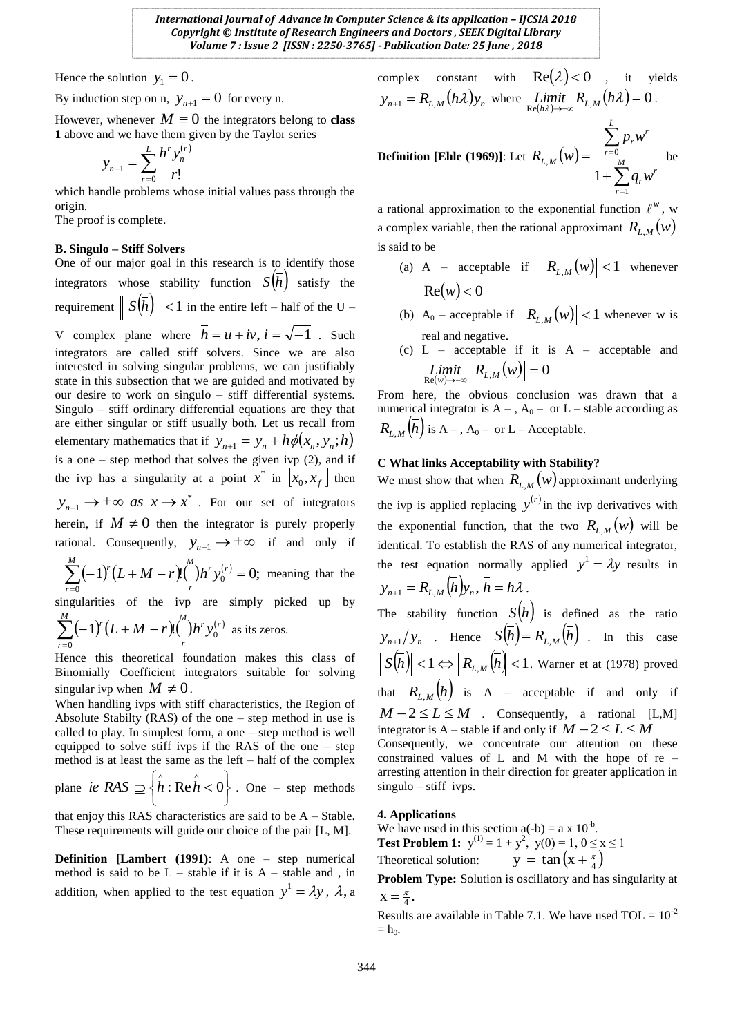Hence the solution  $y_1 = 0$ .

By induction step on n,  $y_{n+1} = 0$  for every n.

However, whenever  $M \equiv 0$  the integrators belong to **class 1** above and we have them given by the Taylor series

$$
y_{n+1} = \sum_{r=0}^{L} \frac{h^r y_n^{(r)}}{r!}
$$

which handle problems whose initial values pass through the origin.

The proof is complete.

## **B. Singulo – Stiff Solvers**

One of our major goal in this research is to identify those integrators whose stability function  $S(h)$  satisfy the requirement  $||S(h)|| < 1$  in the entire left – half of the U – V complex plane where  $h = u + iv$ ,  $i = \sqrt{-1}$ . Such integrators are called stiff solvers. Since we are also interested in solving singular problems, we can justifiably state in this subsection that we are guided and motivated by our desire to work on singulo – stiff differential systems. Singulo – stiff ordinary differential equations are they that are either singular or stiff usually both. Let us recall from elementary mathematics that if  $y_{n+1} = y_n + h\phi(x_n, y_n; h)$ is a one – step method that solves the given ivp (2), and if the ivp has a singularity at a point  $x^*$  in  $\left[ x_0, x_f \right]$  then \*  $y_{n+1} \to \pm \infty$  as  $x \to x^*$ . For our set of integrators herein, if  $M \neq 0$  then the integrator is purely properly rational. Consequently,  $y_{n+1} \rightarrow \pm \infty$  if and only if *M*

 $(-1)^{r}(L+M-r)!$ <sup>(\*)</sup> $h^{r}y_{0}^{(r)}=0;$  $\sum_{r=0}^{\infty}(-1)^{r}(L+M-r)!{n \choose r}h^{r}y_{0}^{(r)}=$ *r*  $\bigcup_{l,r}$ <sub>r</sub> *r*  $f(L+M-r)$ <sup>("</sup>) $h^{r} y_0^{(r)} = 0$ ; meaning that the singularities of the ivp are simply picked up by  $\frac{M}{M}$ 

$$
\sum_{r=0}^{\infty} (-1)^r (L+M-r)! \binom{n}{r} h^r y_0^{(r)}
$$
 as its zeros.

Hence this theoretical foundation makes this class of Binomially Coefficient integrators suitable for solving singular ivp when  $M \neq 0$ .

When handling ivps with stiff characteristics, the Region of Absolute Stabilty (RAS) of the one – step method in use is called to play. In simplest form, a one – step method is well equipped to solve stiff ivps if the RAS of the one – step method is at least the same as the left – half of the complex plane  $\int$  $\left\{ \right.$  $\mathcal{L}$  $\overline{\mathcal{L}}$  $\hat{i}e \ \hat{R}AS \supseteq \{ \hat{h} : \hat{Re} \hat{h} < 0 \}$ . One – step methods

that enjoy this RAS characteristics are said to be A – Stable. These requirements will guide our choice of the pair [L, M].

**Definition [Lambert (1991)**: A one – step numerical method is said to be  $L$  – stable if it is  $A$  – stable and, in addition, when applied to the test equation  $y^1 = \lambda y$ ,  $\lambda$ , a

complex constant with 
$$
\text{Re}(\lambda) < 0
$$
, it yields  
\n
$$
y_{n+1} = R_{L,M}(h\lambda)y_n \text{ where } \lim_{\text{Re}(h\lambda) \to -\infty} R_{L,M}(h\lambda) = 0.
$$
\n
$$
\sum_{r=0}^{L} p_r w^r
$$

**Definition** [Ehle (1969)]: Let  $R_{L,M}(w)$  $\sum$  $\sum$ = - $\ddot{}$  $=\frac{r=0}{M}$ *r r r r r L M*  $q<sub>r</sub>w$  $R_{L,M}(w)$ 1  $_{,M}(w) = \frac{r=0}{2}$ 1 be

a rational approximation to the exponential function  $\ell^w$ , w a complex variable, then the rational approximant  $R_{L,M}(w)$ is said to be

- (a) A acceptable if  $|R_{L,M}(w)| < 1$  whenever  $Re(w) < 0$
- (b) A<sub>0</sub> acceptable if  $|R_{L,M}(w)| < 1$  whenever w is real and negative.
- (c) L acceptable if it is A acceptable and  $\lim_{R \in (w) \to -\infty} \left| R_{L,M}(w) \right| = 0$

From here, the obvious conclusion was drawn that a numerical integrator is  $A -$ ,  $A_0 -$  or  $L -$  stable according as  $R_{L,M}(h)$  is A – , A<sub>0</sub> – or L – Acceptable.

## **C What links Acceptability with Stability?**

We must show that when  $R_{L,M}(w)$  approximant underlying the ivp is applied replacing  $y^{(r)}$  in the ivp derivatives with the exponential function, that the two  $R_{L,M}(w)$  will be identical. To establish the RAS of any numerical integrator, the test equation normally applied  $y^1 = \lambda y$  results in  $y_{n+1} = R_{L,M}(h)y_n, h = h\lambda$ . The stability function  $S(h)$  is defined as the ratio  $y_{n+1}/y_n$  . Hence  $S(h) = R_{L,M}(h)$  . In this case  $|S(h)| < 1 \Leftrightarrow R_{L,M}(h) < 1$ . Warner et at (1978) proved that  $R_{L,M}(h)$  is A – acceptable if and only if  $M - 2 \le L \le M$  . Consequently, a rational [L,M] integrator is A – stable if and only if  $M - 2 \le L \le M$ Consequently, we concentrate our attention on these constrained values of L and M with the hope of re – arresting attention in their direction for greater application in singulo – stiff ivps.

## **4. Applications**

We have used in this section  $a(-b) = a \times 10^{-b}$ . **Test Problem 1:**  $y^{(1)} = 1 + y^2$ ,  $y(0) = 1$ ,  $0 \le x \le 1$ Theoretical solution:  $y = \tan\left(x + \frac{\pi}{4}\right)$ 

**Problem Type:** Solution is oscillatory and has singularity at  $X = \frac{\pi}{4}$ .

Results are available in Table 7.1. We have used  $TOL = 10^{-2}$  $=$  h<sub>0</sub>.